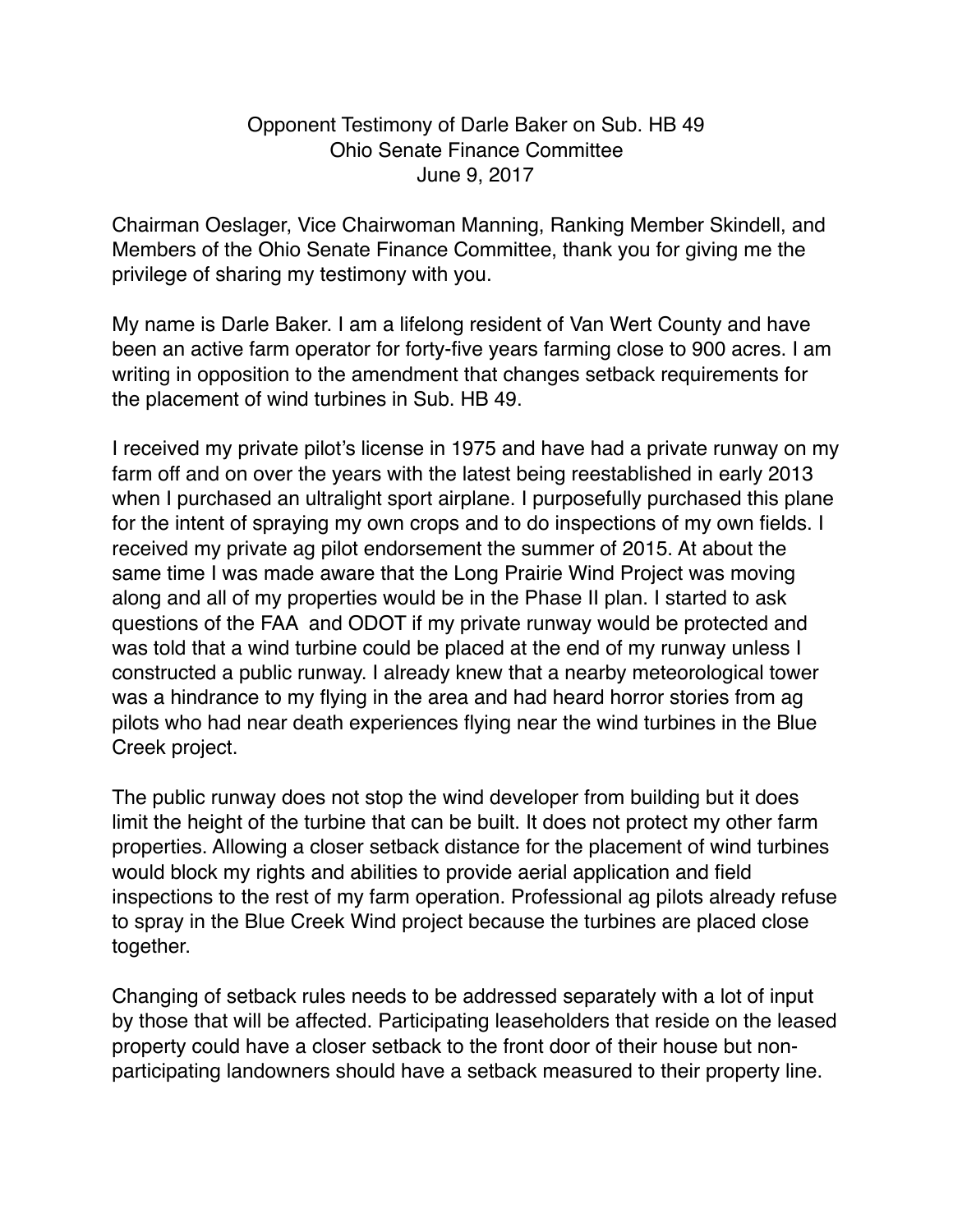## Opponent Testimony of Darle Baker on Sub. HB 49 Ohio Senate Finance Committee June 9, 2017

Chairman Oeslager, Vice Chairwoman Manning, Ranking Member Skindell, and Members of the Ohio Senate Finance Committee, thank you for giving me the privilege of sharing my testimony with you.

My name is Darle Baker. I am a lifelong resident of Van Wert County and have been an active farm operator for forty-five years farming close to 900 acres. I am writing in opposition to the amendment that changes setback requirements for the placement of wind turbines in Sub. HB 49.

I received my private pilot's license in 1975 and have had a private runway on my farm off and on over the years with the latest being reestablished in early 2013 when I purchased an ultralight sport airplane. I purposefully purchased this plane for the intent of spraying my own crops and to do inspections of my own fields. I received my private ag pilot endorsement the summer of 2015. At about the same time I was made aware that the Long Prairie Wind Project was moving along and all of my properties would be in the Phase II plan. I started to ask questions of the FAA and ODOT if my private runway would be protected and was told that a wind turbine could be placed at the end of my runway unless I constructed a public runway. I already knew that a nearby meteorological tower was a hindrance to my flying in the area and had heard horror stories from ag pilots who had near death experiences flying near the wind turbines in the Blue Creek project.

The public runway does not stop the wind developer from building but it does limit the height of the turbine that can be built. It does not protect my other farm properties. Allowing a closer setback distance for the placement of wind turbines would block my rights and abilities to provide aerial application and field inspections to the rest of my farm operation. Professional ag pilots already refuse to spray in the Blue Creek Wind project because the turbines are placed close together.

Changing of setback rules needs to be addressed separately with a lot of input by those that will be affected. Participating leaseholders that reside on the leased property could have a closer setback to the front door of their house but nonparticipating landowners should have a setback measured to their property line.